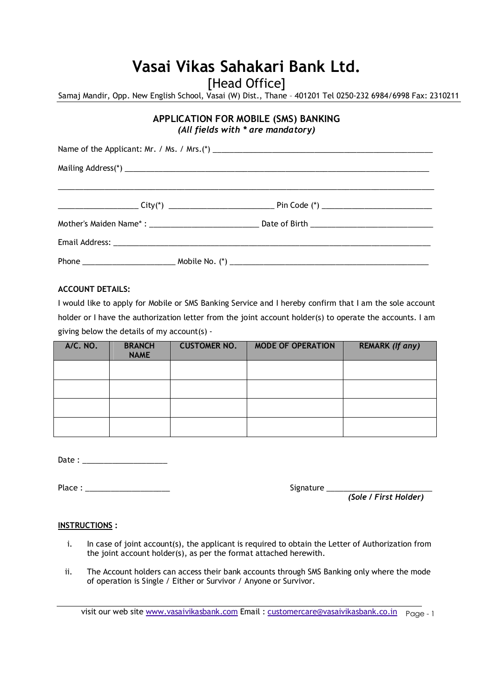## **Vasai Vikas Sahakari Bank Ltd.**

[Head Office]

Samaj Mandir, Opp. New English School, Vasai (W) Dist., Thane – 401201 Tel 0250-232 6984/6998 Fax: 2310211

### **APPLICATION FOR MOBILE (SMS) BANKING**  *(All fields with \* are mandatory)*

| Mailing Address(*)                                                                                        |  |  |  |
|-----------------------------------------------------------------------------------------------------------|--|--|--|
|                                                                                                           |  |  |  |
| ______________________City(*) ___________________________________Pin Code (*) ___________________________ |  |  |  |
|                                                                                                           |  |  |  |
|                                                                                                           |  |  |  |
|                                                                                                           |  |  |  |

#### **ACCOUNT DETAILS:**

I would like to apply for Mobile or SMS Banking Service and I hereby confirm that I am the sole account holder or I have the authorization letter from the joint account holder(s) to operate the accounts. I am giving below the details of my account(s) -

| <b>A/C. NO.</b> | <b>BRANCH</b><br><b>NAME</b> | <b>CUSTOMER NO.</b> | <b>MODE OF OPERATION</b> | <b>REMARK (If any)</b> |
|-----------------|------------------------------|---------------------|--------------------------|------------------------|
|                 |                              |                     |                          |                        |
|                 |                              |                     |                          |                        |
|                 |                              |                     |                          |                        |
|                 |                              |                     |                          |                        |

Date : \_\_\_\_\_\_\_\_\_\_\_\_\_\_\_\_\_\_\_\_

Place : \_\_\_\_\_\_\_\_\_\_\_\_\_\_\_\_\_\_\_\_ Signature \_\_\_\_\_\_\_\_\_\_\_\_\_\_\_\_\_\_\_\_\_\_\_\_\_

| Signature |  |  |  |  |
|-----------|--|--|--|--|
|           |  |  |  |  |

*(Sole / First Holder)*

#### **INSTRUCTIONS :**

- i. In case of joint account(s), the applicant is required to obtain the Letter of Authorization from the joint account holder(s), as per the format attached herewith.
- ii. The Account holders can access their bank accounts through SMS Banking only where the mode of operation is Single / Either or Survivor / Anyone or Survivor.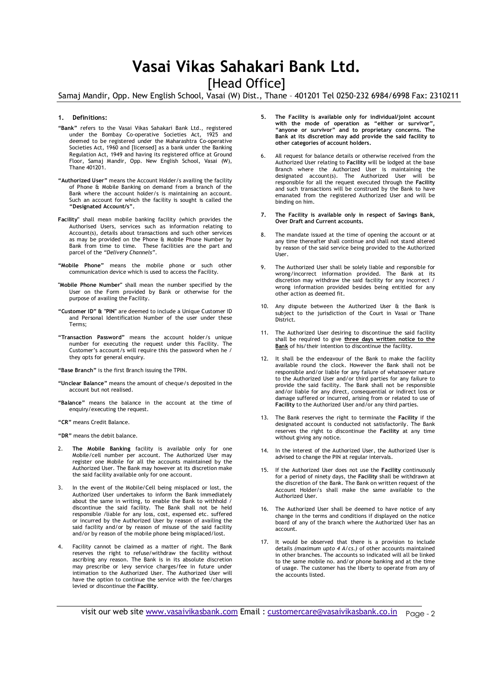### **Vasai Vikas Sahakari Bank Ltd.**

[Head Office]

Samaj Mandir, Opp. New English School, Vasai (W) Dist., Thane – 401201 Tel 0250-232 6984/6998 Fax: 2310211

#### **1. Definitions:**

- **"Bank"** refers to the Vasai Vikas Sahakari Bank Ltd., registered under the Bombay Co-operative Societies Act, 1925 and deemed to be registered under the Maharashtra Co-operative Societies Act, 1960 and [licensed] as a bank under the Banking Regulation Act, 1949 and having its registered office at Ground Floor, Samaj Mandir, Opp. New English School, Vasai (W), Thane 401201.
- **"Authorized User"** means the Account Holder/s availing the facility of Phone & Mobile Banking on demand from a branch of the Bank where the account holder/s is maintaining an account. Such an account for which the facility is sought is called the **"Designated Account/s".**
- **Facility"** shall mean mobile banking facility (which provides the Authorised Users, services such as information relating to Account(s), details about transactions and such other services as may be provided on the Phone & Mobile Phone Number by Bank from time to time. These facilities are the part and parcel of the *"Delivery Channels"*.
- **"Mobile Phone"** means the mobile phone or such other communication device which is used to access the Facility.
- **"Mobile Phone Number"** shall mean the number specified by the User on the Form provided by Bank or otherwise for the purpose of availing the Facility.
- **"Customer ID" & "PIN"** are deemed to include a Unique Customer ID and Personal Identification Number of the user under these Terms;
- **"Transaction Password"** means the account holder/s unique number for executing the request under this Facility. The Customer's account/s will require this the password when he / they opts for general enquiry.
- **"Base Branch"** is the first Branch issuing the TPIN.
- **"Unclear Balance"** means the amount of cheque/s deposited in the account but not realised.
- **"Balance"** means the balance in the account at the time of enquiry/executing the request.
- **"CR"** means Credit Balance.

**"DR"** means the debit balance.

- 2. **The Mobile Banking** facility is available only for one Mobile/cell number per account. The Authorized User may register one Mobile for all the accounts maintained by the Authorized User. The Bank may however at its discretion make the said facility available only for one account.
- 3. In the event of the Mobile/Cell being misplaced or lost, the Authorized User undertakes to inform the Bank immediately about the same in writing, to enable the Bank to withhold discontinue the said facility. The Bank shall not be held responsible /liable for any loss, cost, expensed etc. suffered or incurred by the Authorized User by reason of availing the said facility and/or by reason of misuse of the said facility and/or by reason of the mobile phone being misplaced/lost.
- Facility cannot be claimed as a matter of right. The Bank reserves the right to refuse/withdraw the facility without ascribing any reason. The Bank is in its absolute discretion may prescribe or levy service charges/fee in future under intimation to the Authorized User. The Authorized User will have the option to continue the service with the fee/charges levied or discontinue the **Facility**.
- **5. The Facility is available only for individual/joint account with the mode of operation as "either or survivor", "anyone or survivor" and to proprietary concerns. The Bank at its discretion may add provide the said facility to other categories of account holders.**
- 6. All request for balance details or otherwise received from the Authorized User relating to **Facility** will be lodged at the base Branch where the Authorized User is maintaining the designated account(s). The Authorized User will be responsible for all the request executed through the **Facility** and such transactions will be construed by the Bank to have emanated from the registered Authorized User and will be binding on him.
- **7. The Facility is available only in respect of Savings Bank, Over Draft and Current accounts.**
- 8. The mandate issued at the time of opening the account or at any time thereafter shall continue and shall not stand altered by reason of the said service being provided to the Authorized User.
- 9. The Authorized User shall be solely liable and responsible for wrong/incorrect information provided. The Bank at its discretion may withdraw the said facility for any incorrect / wrong information provided besides being entitled for any other action as deemed fit.
- 10. Any dispute between the Authorized User & the Bank is subject to the jurisdiction of the Court in Vasai or Thane District.
- 11. The Authorized User desiring to discontinue the said facility shall be required to give **three days written notice to the**  Bank of his/their intention to discontinue the facility.
- 12. It shall be the endeavour of the Bank to make the facility available round the clock. However the Bank shall not be responsible and/or liable for any failure of whatsoever nature to the Authorized User and/or third parties for any failure to provide the said facility. The Bank shall not be responsible and/or liable for any direct, consequential or indirect loss or damage suffered or incurred, arising from or related to use of **Facility** to the Authorized User and/or any third parties.
- 13. The Bank reserves the right to terminate the **Facility** if the designated account is conducted not satisfactorily. The Bank reserves the right to discontinue the **Facility** at any time without giving any notice.
- 14. In the interest of the Authorized User, the Authorized User is advised to change the PIN at regular intervals.
- 15. If the Authorized User does not use the **Facility** continuously for a period of ninety days, the **Facility** shall be withdrawn at the discretion of the Bank. The Bank on written request of the Account Holder/s shall make the same available to the Authorized User.
- 16. The Authorized User shall be deemed to have notice of any change in the terms and conditions if displayed on the notice board of any of the branch where the Authorized User has an account.
- It would be observed that there is a provision to include details *(maximum upto 4 A/cs.)* of other accounts maintained in other branches. The accounts so indicated will all be linked to the same mobile no. and/or phone banking and at the time of usage. The customer has the liberty to operate from any of the accounts listed.